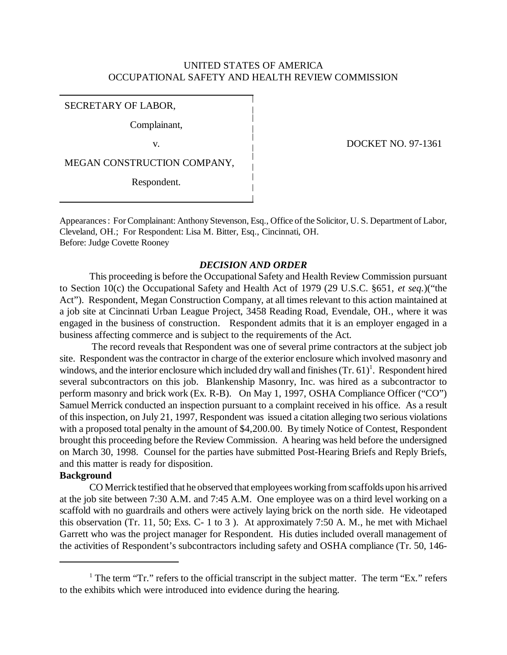## UNITED STATES OF AMERICA OCCUPATIONAL SAFETY AND HEALTH REVIEW COMMISSION

### SECRETARY OF LABOR,

Complainant,

MEGAN CONSTRUCTION COMPANY,

Respondent.

v. DOCKET NO. 97-1361

Appearances : For Complainant: Anthony Stevenson, Esq., Office of the Solicitor, U. S. Department of Labor, Cleveland, OH.; For Respondent: Lisa M. Bitter, Esq., Cincinnati, OH. Before: Judge Covette Rooney

# *DECISION AND ORDER*

This proceeding is before the Occupational Safety and Health Review Commission pursuant to Section 10(c) the Occupational Safety and Health Act of 1979 (29 U.S.C. §651, *et seq.*)("the Act"). Respondent, Megan Construction Company, at all times relevant to this action maintained at a job site at Cincinnati Urban League Project, 3458 Reading Road, Evendale, OH., where it was engaged in the business of construction. Respondent admits that it is an employer engaged in a business affecting commerce and is subject to the requirements of the Act.

 The record reveals that Respondent was one of several prime contractors at the subject job site. Respondent was the contractor in charge of the exterior enclosure which involved masonry and windows, and the interior enclosure which included dry wall and finishes  $(Tr. 61)^1$ . Respondent hired several subcontractors on this job. Blankenship Masonry, Inc. was hired as a subcontractor to perform masonry and brick work (Ex. R-B). On May 1, 1997, OSHA Compliance Officer ("CO") Samuel Merrick conducted an inspection pursuant to a complaint received in his office. As a result of this inspection, on July 21, 1997, Respondent was issued a citation alleging two serious violations with a proposed total penalty in the amount of \$4,200.00. By timely Notice of Contest, Respondent brought this proceeding before the Review Commission. A hearing was held before the undersigned on March 30, 1998. Counsel for the parties have submitted Post-Hearing Briefs and Reply Briefs, and this matter is ready for disposition.

## **Background**

CO Merrick testified that he observed that employees working from scaffolds upon his arrived at the job site between 7:30 A.M. and 7:45 A.M. One employee was on a third level working on a scaffold with no guardrails and others were actively laying brick on the north side. He videotaped this observation (Tr. 11, 50; Exs. C- 1 to 3 ). At approximately 7:50 A. M., he met with Michael Garrett who was the project manager for Respondent. His duties included overall management of the activities of Respondent's subcontractors including safety and OSHA compliance (Tr. 50, 146-

<sup>&</sup>lt;sup>1</sup> The term "Tr." refers to the official transcript in the subject matter. The term "Ex." refers to the exhibits which were introduced into evidence during the hearing.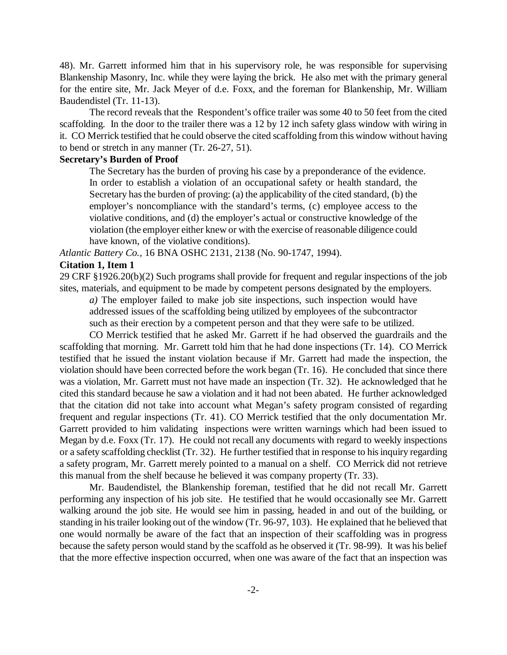48). Mr. Garrett informed him that in his supervisory role, he was responsible for supervising Blankenship Masonry, Inc. while they were laying the brick. He also met with the primary general for the entire site, Mr. Jack Meyer of d.e. Foxx, and the foreman for Blankenship, Mr. William Baudendistel (Tr. 11-13).

The record reveals that the Respondent's office trailer was some 40 to 50 feet from the cited scaffolding. In the door to the trailer there was a 12 by 12 inch safety glass window with wiring in it. CO Merrick testified that he could observe the cited scaffolding from this window without having to bend or stretch in any manner (Tr. 26-27, 51).

## **Secretary's Burden of Proof**

The Secretary has the burden of proving his case by a preponderance of the evidence. In order to establish a violation of an occupational safety or health standard, the Secretary has the burden of proving: (a) the applicability of the cited standard, (b) the employer's noncompliance with the standard's terms, (c) employee access to the violative conditions, and (d) the employer's actual or constructive knowledge of the violation (the employer either knew or with the exercise of reasonable diligence could have known, of the violative conditions).

*Atlantic Battery Co.,* 16 BNA OSHC 2131, 2138 (No. 90-1747, 1994).

### **Citation 1, Item 1**

29 CRF §1926.20(b)(2) Such programs shall provide for frequent and regular inspections of the job sites, materials, and equipment to be made by competent persons designated by the employers.

*a)* The employer failed to make job site inspections, such inspection would have addressed issues of the scaffolding being utilized by employees of the subcontractor such as their erection by a competent person and that they were safe to be utilized.

CO Merrick testified that he asked Mr. Garrett if he had observed the guardrails and the scaffolding that morning. Mr. Garrett told him that he had done inspections (Tr. 14). CO Merrick testified that he issued the instant violation because if Mr. Garrett had made the inspection, the violation should have been corrected before the work began (Tr. 16). He concluded that since there was a violation, Mr. Garrett must not have made an inspection (Tr. 32). He acknowledged that he cited this standard because he saw a violation and it had not been abated. He further acknowledged that the citation did not take into account what Megan's safety program consisted of regarding frequent and regular inspections (Tr. 41). CO Merrick testified that the only documentation Mr. Garrett provided to him validating inspections were written warnings which had been issued to Megan by d.e. Foxx (Tr. 17). He could not recall any documents with regard to weekly inspections or a safety scaffolding checklist (Tr. 32). He further testified that in response to his inquiry regarding a safety program, Mr. Garrett merely pointed to a manual on a shelf. CO Merrick did not retrieve this manual from the shelf because he believed it was company property (Tr. 33).

Mr. Baudendistel, the Blankenship foreman, testified that he did not recall Mr. Garrett performing any inspection of his job site. He testified that he would occasionally see Mr. Garrett walking around the job site. He would see him in passing, headed in and out of the building, or standing in his trailer looking out of the window (Tr. 96-97, 103). He explained that he believed that one would normally be aware of the fact that an inspection of their scaffolding was in progress because the safety person would stand by the scaffold as he observed it (Tr. 98-99). It was his belief that the more effective inspection occurred, when one was aware of the fact that an inspection was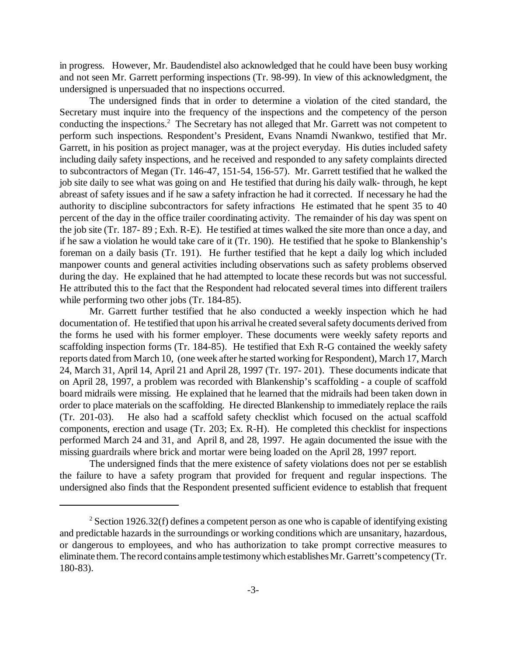in progress. However, Mr. Baudendistel also acknowledged that he could have been busy working and not seen Mr. Garrett performing inspections (Tr. 98-99). In view of this acknowledgment, the undersigned is unpersuaded that no inspections occurred.

The undersigned finds that in order to determine a violation of the cited standard, the Secretary must inquire into the frequency of the inspections and the competency of the person conducting the inspections.<sup>2</sup> The Secretary has not alleged that Mr. Garrett was not competent to perform such inspections. Respondent's President, Evans Nnamdi Nwankwo, testified that Mr. Garrett, in his position as project manager, was at the project everyday. His duties included safety including daily safety inspections, and he received and responded to any safety complaints directed to subcontractors of Megan (Tr. 146-47, 151-54, 156-57). Mr. Garrett testified that he walked the job site daily to see what was going on and He testified that during his daily walk- through, he kept abreast of safety issues and if he saw a safety infraction he had it corrected. If necessary he had the authority to discipline subcontractors for safety infractions He estimated that he spent 35 to 40 percent of the day in the office trailer coordinating activity. The remainder of his day was spent on the job site (Tr. 187- 89 ; Exh. R-E). He testified at times walked the site more than once a day, and if he saw a violation he would take care of it (Tr. 190). He testified that he spoke to Blankenship's foreman on a daily basis (Tr. 191). He further testified that he kept a daily log which included manpower counts and general activities including observations such as safety problems observed during the day. He explained that he had attempted to locate these records but was not successful. He attributed this to the fact that the Respondent had relocated several times into different trailers while performing two other jobs (Tr. 184-85).

Mr. Garrett further testified that he also conducted a weekly inspection which he had documentation of. He testified that upon his arrival he created several safety documents derived from the forms he used with his former employer. These documents were weekly safety reports and scaffolding inspection forms (Tr. 184-85). He testified that Exh R-G contained the weekly safety reports dated from March 10, (one week after he started working for Respondent), March 17, March 24, March 31, April 14, April 21 and April 28, 1997 (Tr. 197- 201). These documents indicate that on April 28, 1997, a problem was recorded with Blankenship's scaffolding - a couple of scaffold board midrails were missing. He explained that he learned that the midrails had been taken down in order to place materials on the scaffolding. He directed Blankenship to immediately replace the rails (Tr. 201-03). He also had a scaffold safety checklist which focused on the actual scaffold components, erection and usage (Tr. 203; Ex. R-H). He completed this checklist for inspections performed March 24 and 31, and April 8, and 28, 1997. He again documented the issue with the missing guardrails where brick and mortar were being loaded on the April 28, 1997 report.

The undersigned finds that the mere existence of safety violations does not per se establish the failure to have a safety program that provided for frequent and regular inspections. The undersigned also finds that the Respondent presented sufficient evidence to establish that frequent

<sup>&</sup>lt;sup>2</sup> Section 1926.32(f) defines a competent person as one who is capable of identifying existing and predictable hazards in the surroundings or working conditions which are unsanitary, hazardous, or dangerous to employees, and who has authorization to take prompt corrective measures to eliminate them. The record contains ample testimony which establishes Mr. Garrett's competency (Tr. 180-83).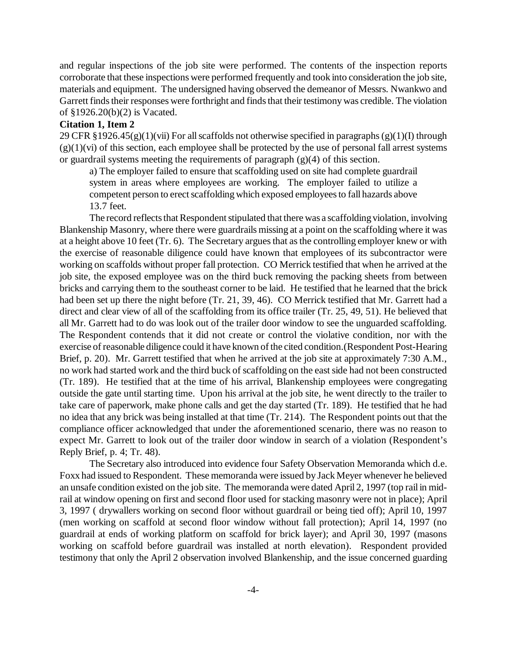and regular inspections of the job site were performed. The contents of the inspection reports corroborate that these inspections were performed frequently and took into consideration the job site, materials and equipment. The undersigned having observed the demeanor of Messrs. Nwankwo and Garrett finds their responses were forthright and finds that their testimony was credible. The violation of §1926.20(b)(2) is Vacated.

# **Citation 1, Item 2**

29 CFR §1926.45(g)(1)(vii) For all scaffolds not otherwise specified in paragraphs (g)(1)(I) through  $(g)(1)(vi)$  of this section, each employee shall be protected by the use of personal fall arrest systems or guardrail systems meeting the requirements of paragraph (g)(4) of this section.

a) The employer failed to ensure that scaffolding used on site had complete guardrail system in areas where employees are working. The employer failed to utilize a competent person to erect scaffolding which exposed employees to fall hazards above 13.7 feet.

The record reflects that Respondent stipulated that there was a scaffolding violation, involving Blankenship Masonry, where there were guardrails missing at a point on the scaffolding where it was at a height above 10 feet (Tr. 6). The Secretary argues that as the controlling employer knew or with the exercise of reasonable diligence could have known that employees of its subcontractor were working on scaffolds without proper fall protection. CO Merrick testified that when he arrived at the job site, the exposed employee was on the third buck removing the packing sheets from between bricks and carrying them to the southeast corner to be laid. He testified that he learned that the brick had been set up there the night before (Tr. 21, 39, 46). CO Merrick testified that Mr. Garrett had a direct and clear view of all of the scaffolding from its office trailer (Tr. 25, 49, 51). He believed that all Mr. Garrett had to do was look out of the trailer door window to see the unguarded scaffolding. The Respondent contends that it did not create or control the violative condition, nor with the exercise of reasonable diligence could it have known of the cited condition.(Respondent Post-Hearing Brief, p. 20). Mr. Garrett testified that when he arrived at the job site at approximately 7:30 A.M., no work had started work and the third buck of scaffolding on the east side had not been constructed (Tr. 189). He testified that at the time of his arrival, Blankenship employees were congregating outside the gate until starting time. Upon his arrival at the job site, he went directly to the trailer to take care of paperwork, make phone calls and get the day started (Tr. 189). He testified that he had no idea that any brick was being installed at that time (Tr. 214). The Respondent points out that the compliance officer acknowledged that under the aforementioned scenario, there was no reason to expect Mr. Garrett to look out of the trailer door window in search of a violation (Respondent's Reply Brief, p. 4; Tr. 48).

The Secretary also introduced into evidence four Safety Observation Memoranda which d.e. Foxx had issued to Respondent. These memoranda were issued by Jack Meyer whenever he believed an unsafe condition existed on the job site. The memoranda were dated April 2, 1997 (top rail in midrail at window opening on first and second floor used for stacking masonry were not in place); April 3, 1997 ( drywallers working on second floor without guardrail or being tied off); April 10, 1997 (men working on scaffold at second floor window without fall protection); April 14, 1997 (no guardrail at ends of working platform on scaffold for brick layer); and April 30, 1997 (masons working on scaffold before guardrail was installed at north elevation). Respondent provided testimony that only the April 2 observation involved Blankenship, and the issue concerned guarding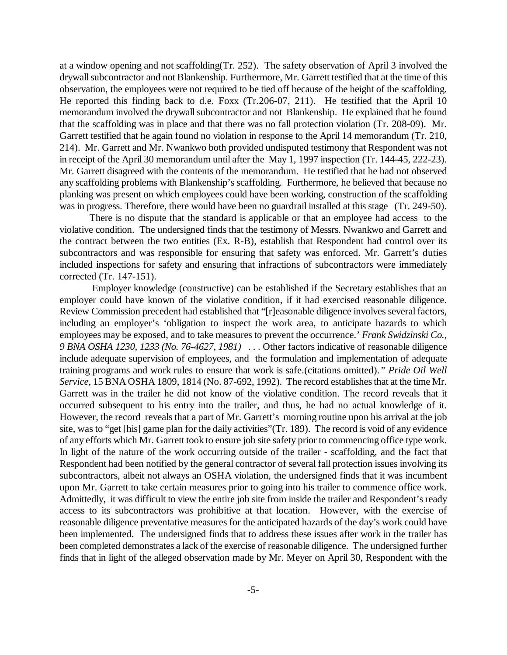at a window opening and not scaffolding(Tr. 252). The safety observation of April 3 involved the drywall subcontractor and not Blankenship. Furthermore, Mr. Garrett testified that at the time of this observation, the employees were not required to be tied off because of the height of the scaffolding. He reported this finding back to d.e. Foxx (Tr.206-07, 211). He testified that the April 10 memorandum involved the drywall subcontractor and not Blankenship. He explained that he found that the scaffolding was in place and that there was no fall protection violation (Tr. 208-09). Mr. Garrett testified that he again found no violation in response to the April 14 memorandum (Tr. 210, 214). Mr. Garrett and Mr. Nwankwo both provided undisputed testimony that Respondent was not in receipt of the April 30 memorandum until after the May 1, 1997 inspection (Tr. 144-45, 222-23). Mr. Garrett disagreed with the contents of the memorandum. He testified that he had not observed any scaffolding problems with Blankenship's scaffolding. Furthermore, he believed that because no planking was present on which employees could have been working, construction of the scaffolding was in progress. Therefore, there would have been no guardrail installed at this stage (Tr. 249-50).

There is no dispute that the standard is applicable or that an employee had access to the violative condition. The undersigned finds that the testimony of Messrs. Nwankwo and Garrett and the contract between the two entities (Ex. R-B), establish that Respondent had control over its subcontractors and was responsible for ensuring that safety was enforced. Mr. Garrett's duties included inspections for safety and ensuring that infractions of subcontractors were immediately corrected (Tr. 147-151).

 Employer knowledge (constructive) can be established if the Secretary establishes that an employer could have known of the violative condition, if it had exercised reasonable diligence. Review Commission precedent had established that "[r]easonable diligence involves several factors, including an employer's 'obligation to inspect the work area, to anticipate hazards to which employees may be exposed, and to take measures to prevent the occurrence.' *Frank Swidzinski Co., 9 BNA OSHA 1230, 1233 (No. 76-4627, 1981) . . .* Other factors indicative of reasonable diligence include adequate supervision of employees, and the formulation and implementation of adequate training programs and work rules to ensure that work is safe.(citations omitted).*" Pride Oil Well Service,* 15 BNA OSHA 1809, 1814 (No. 87-692, 1992). The record establishes that at the time Mr. Garrett was in the trailer he did not know of the violative condition. The record reveals that it occurred subsequent to his entry into the trailer, and thus, he had no actual knowledge of it. However, the record reveals that a part of Mr. Garrett's morning routine upon his arrival at the job site, was to "get [his] game plan for the daily activities"(Tr. 189). The record is void of any evidence of any efforts which Mr. Garrett took to ensure job site safety prior to commencing office type work. In light of the nature of the work occurring outside of the trailer - scaffolding, and the fact that Respondent had been notified by the general contractor of several fall protection issues involving its subcontractors, albeit not always an OSHA violation, the undersigned finds that it was incumbent upon Mr. Garrett to take certain measures prior to going into his trailer to commence office work. Admittedly, it was difficult to view the entire job site from inside the trailer and Respondent's ready access to its subcontractors was prohibitive at that location. However, with the exercise of reasonable diligence preventative measures for the anticipated hazards of the day's work could have been implemented. The undersigned finds that to address these issues after work in the trailer has been completed demonstrates a lack of the exercise of reasonable diligence. The undersigned further finds that in light of the alleged observation made by Mr. Meyer on April 30, Respondent with the